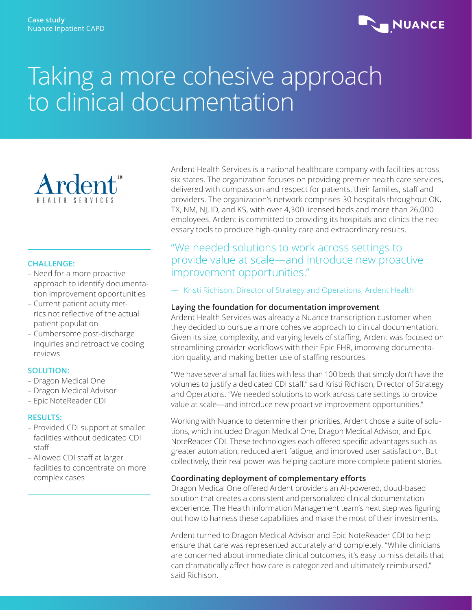

# Taking a more cohesive approach to clinical documentation



#### **CHALLENGE:**

- Need for a more proactive approach to identify documentation improvement opportunities
- Current patient acuity metrics not reflective of the actual patient population
- Cumbersome post-discharge inquiries and retroactive coding reviews

#### **SOLUTION:**

- Dragon Medical One
- Dragon Medical Advisor
- Epic NoteReader CDI

### **RESULTS:**

- Provided CDI support at smaller facilities without dedicated CDI staff
- Allowed CDI staff at larger facilities to concentrate on more complex cases

Ardent Health Services is a national healthcare company with facilities across six states. The organization focuses on providing premier health care services, delivered with compassion and respect for patients, their families, staff and providers. The organization's network comprises 30 hospitals throughout OK, TX, NM, NJ, ID, and KS, with over 4,300 licensed beds and more than 26,000 employees. Ardent is committed to providing its hospitals and clinics the necessary tools to produce high-quality care and extraordinary results.

## "We needed solutions to work across settings to provide value at scale—and introduce new proactive improvement opportunities."

— Kristi Richison, Director of Strategy and Operations, Ardent Health

### **Laying the foundation for documentation improvement**

Ardent Health Services was already a Nuance transcription customer when they decided to pursue a more cohesive approach to clinical documentation. Given its size, complexity, and varying levels of staffing, Ardent was focused on streamlining provider workflows with their Epic EHR, improving documentation quality, and making better use of staffing resources.

"We have several small facilities with less than 100 beds that simply don't have the volumes to justify a dedicated CDI staff," said Kristi Richison, Director of Strategy and Operations. "We needed solutions to work across care settings to provide value at scale—and introduce new proactive improvement opportunities."

Working with Nuance to determine their priorities, Ardent chose a suite of solutions, which included Dragon Medical One, Dragon Medical Advisor, and Epic NoteReader CDI. These technologies each offered specific advantages such as greater automation, reduced alert fatigue, and improved user satisfaction. But collectively, their real power was helping capture more complete patient stories.

### **Coordinating deployment of complementary efforts**

Dragon Medical One offered Ardent providers an AI-powered, cloud-based solution that creates a consistent and personalized clinical documentation experience. The Health Information Management team's next step was figuring out how to harness these capabilities and make the most of their investments.

Ardent turned to Dragon Medical Advisor and Epic NoteReader CDI to help ensure that care was represented accurately and completely. "While clinicians are concerned about immediate clinical outcomes, it's easy to miss details that can dramatically affect how care is categorized and ultimately reimbursed," said Richison.